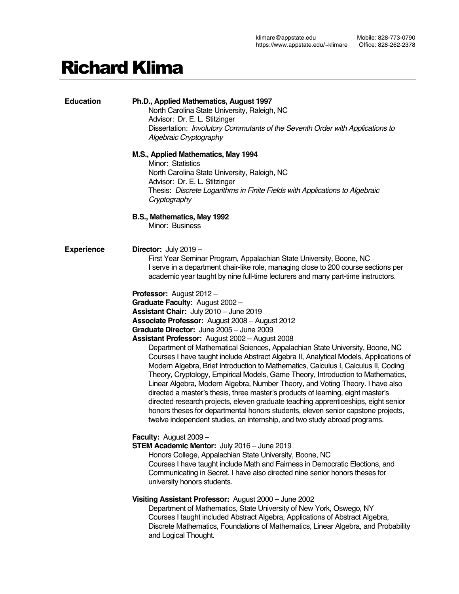# Richard Klima

| <b>Education</b>  | Ph.D., Applied Mathematics, August 1997<br>North Carolina State University, Raleigh, NC<br>Advisor: Dr. E. L. Stitzinger<br>Dissertation: Involutory Commutants of the Seventh Order with Applications to<br>Algebraic Cryptography<br>M.S., Applied Mathematics, May 1994<br>Minor: Statistics<br>North Carolina State University, Raleigh, NC<br>Advisor: Dr. E. L. Stitzinger<br>Thesis: Discrete Logarithms in Finite Fields with Applications to Algebraic<br>Cryptography<br>B.S., Mathematics, May 1992                                                                                                                                                                                                                                                                                                                                                                                                                                                                                                                     |
|-------------------|------------------------------------------------------------------------------------------------------------------------------------------------------------------------------------------------------------------------------------------------------------------------------------------------------------------------------------------------------------------------------------------------------------------------------------------------------------------------------------------------------------------------------------------------------------------------------------------------------------------------------------------------------------------------------------------------------------------------------------------------------------------------------------------------------------------------------------------------------------------------------------------------------------------------------------------------------------------------------------------------------------------------------------|
|                   | Minor: Business                                                                                                                                                                                                                                                                                                                                                                                                                                                                                                                                                                                                                                                                                                                                                                                                                                                                                                                                                                                                                    |
| <b>Experience</b> | <b>Director:</b> July $2019 -$<br>First Year Seminar Program, Appalachian State University, Boone, NC<br>I serve in a department chair-like role, managing close to 200 course sections per<br>academic year taught by nine full-time lecturers and many part-time instructors.                                                                                                                                                                                                                                                                                                                                                                                                                                                                                                                                                                                                                                                                                                                                                    |
|                   | Professor: August 2012 -<br>Graduate Faculty: August 2002 -<br>Assistant Chair: July 2010 - June 2019<br>Associate Professor: August 2008 - August 2012<br>Graduate Director: June 2005 - June 2009<br>Assistant Professor: August 2002 - August 2008<br>Department of Mathematical Sciences, Appalachian State University, Boone, NC<br>Courses I have taught include Abstract Algebra II, Analytical Models, Applications of<br>Modern Algebra, Brief Introduction to Mathematics, Calculus I, Calculus II, Coding<br>Theory, Cryptology, Empirical Models, Game Theory, Introduction to Mathematics,<br>Linear Algebra, Modern Algebra, Number Theory, and Voting Theory. I have also<br>directed a master's thesis, three master's products of learning, eight master's<br>directed research projects, eleven graduate teaching apprenticeships, eight senior<br>honors theses for departmental honors students, eleven senior capstone projects,<br>twelve independent studies, an internship, and two study abroad programs. |
|                   | Faculty: August 2009 -<br><b>STEM Academic Mentor: July 2016 - June 2019</b><br>Honors College, Appalachian State University, Boone, NC<br>Courses I have taught include Math and Fairness in Democratic Elections, and<br>Communicating in Secret. I have also directed nine senior honors theses for<br>university honors students.                                                                                                                                                                                                                                                                                                                                                                                                                                                                                                                                                                                                                                                                                              |
|                   | Visiting Assistant Professor: August 2000 - June 2002<br>Department of Mathematics, State University of New York, Oswego, NY<br>Courses I taught included Abstract Algebra, Applications of Abstract Algebra,<br>Discrete Mathematics, Foundations of Mathematics, Linear Algebra, and Probability<br>and Logical Thought.                                                                                                                                                                                                                                                                                                                                                                                                                                                                                                                                                                                                                                                                                                         |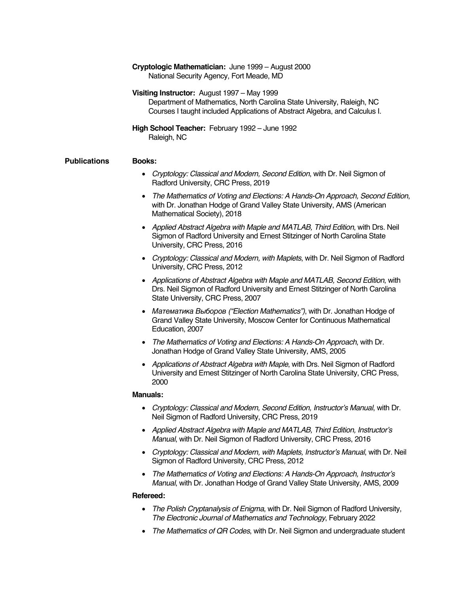|                     | Cryptologic Mathematician: June 1999 - August 2000<br>National Security Agency, Fort Meade, MD                                                                                                        |
|---------------------|-------------------------------------------------------------------------------------------------------------------------------------------------------------------------------------------------------|
|                     | Visiting Instructor: August 1997 – May 1999<br>Department of Mathematics, North Carolina State University, Raleigh, NC<br>Courses I taught included Applications of Abstract Algebra, and Calculus I. |
|                     | High School Teacher: February 1992 - June 1992<br>Raleigh, NC                                                                                                                                         |
| <b>Publications</b> | <b>Books:</b>                                                                                                                                                                                         |
|                     | • Cryptology: Classical and Modern, Second Edition, with Dr. Neil Sigmon of<br>Radford University, CRC Press, 2019                                                                                    |
|                     | The Mathematics of Voting and Elections: A Hands-On Approach, Second Edition,<br>with Dr. Jonathan Hodge of Grand Valley State University, AMS (American<br>Mathematical Society), 2018               |
|                     | • Applied Abstract Algebra with Maple and MATLAB, Third Edition, with Drs. Neil<br>Sigmon of Radford University and Ernest Stitzinger of North Carolina State<br>University, CRC Press, 2016          |
|                     | • Cryptology: Classical and Modern, with Maplets, with Dr. Neil Sigmon of Radford                                                                                                                     |

University, CRC Press, 2012

- *Applications of Abstract Algebra with Maple and MATLAB, Second Edition*, with Drs. Neil Sigmon of Radford University and Ernest Stitzinger of North Carolina State University, CRC Press, 2007
- Математика Выборов *("Election Mathematics")*, with Dr. Jonathan Hodge of Grand Valley State University, Moscow Center for Continuous Mathematical Education, 2007
- *The Mathematics of Voting and Elections: A Hands-On Approach*, with Dr. Jonathan Hodge of Grand Valley State University, AMS, 2005
- *Applications of Abstract Algebra with Maple*, with Drs. Neil Sigmon of Radford University and Ernest Stitzinger of North Carolina State University, CRC Press, 2000

#### **Manuals:**

- *Cryptology: Classical and Modern, Second Edition, Instructor's Manual*, with Dr. Neil Sigmon of Radford University, CRC Press, 2019
- *Applied Abstract Algebra with Maple and MATLAB, Third Edition, Instructor's Manual*, with Dr. Neil Sigmon of Radford University, CRC Press, 2016
- *Cryptology: Classical and Modern, with Maplets, Instructor's Manual*, with Dr. Neil Sigmon of Radford University, CRC Press, 2012
- *The Mathematics of Voting and Elections: A Hands-On Approach, Instructor's Manual*, with Dr. Jonathan Hodge of Grand Valley State University, AMS, 2009

## **Refereed:**

- *The Polish Cryptanalysis of Enigma*, with Dr. Neil Sigmon of Radford University, *The Electronic Journal of Mathematics and Technology*, February 2022
- *The Mathematics of QR Codes*, with Dr. Neil Sigmon and undergraduate student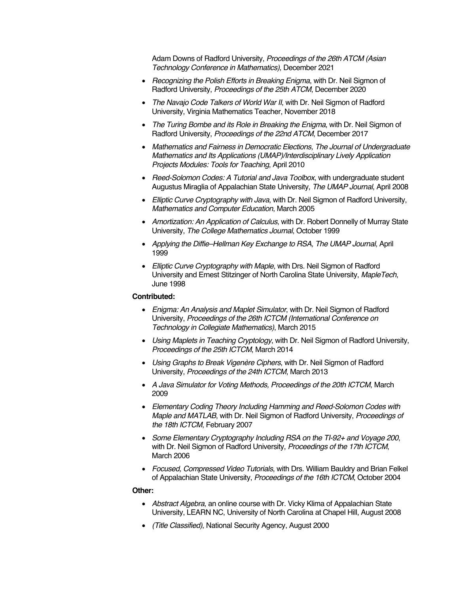Adam Downs of Radford University, *Proceedings of the 26th ATCM (Asian Technology Conference in Mathematics)*, December 2021

- *Recognizing the Polish Efforts in Breaking Enigma*, with Dr. Neil Sigmon of Radford University, *Proceedings of the 25th ATCM*, December 2020
- *The Navajo Code Talkers of World War II*, with Dr. Neil Sigmon of Radford University, Virginia Mathematics Teacher, November 2018
- *The Turing Bombe and its Role in Breaking the Enigma*, with Dr. Neil Sigmon of Radford University, *Proceedings of the 22nd ATCM*, December 2017
- *Mathematics and Fairness in Democratic Elections, The Journal of Undergraduate Mathematics and Its Applications (UMAP)/Interdisciplinary Lively Application Projects Modules: Tools for Teaching*, April 2010
- *Reed-Solomon Codes: A Tutorial and Java Toolbox*, with undergraduate student Augustus Miraglia of Appalachian State University, *The UMAP Journal*, April 2008
- *Elliptic Curve Cryptography with Java*, with Dr. Neil Sigmon of Radford University, *Mathematics and Computer Education*, March 2005
- *Amortization: An Application of Calculus*, with Dr. Robert Donnelly of Murray State University, *The College Mathematics Journal*, October 1999
- *Applying the Diffie–Hellman Key Exchange to RSA, The UMAP Journal*, April 1999
- *Elliptic Curve Cryptography with Maple*, with Drs. Neil Sigmon of Radford University and Ernest Stitzinger of North Carolina State University, *MapleTech*, June 1998

# **Contributed:**

- *Enigma: An Analysis and Maplet Simulator*, with Dr. Neil Sigmon of Radford University, *Proceedings of the 26th ICTCM (International Conference on Technology in Collegiate Mathematics)*, March 2015
- *Using Maplets in Teaching Cryptology*, with Dr. Neil Sigmon of Radford University, *Proceedings of the 25th ICTCM*, March 2014
- *Using Graphs to Break Vigenère Ciphers*, with Dr. Neil Sigmon of Radford University, *Proceedings of the 24th ICTCM*, March 2013
- *A Java Simulator for Voting Methods, Proceedings of the 20th ICTCM*, March 2009
- *Elementary Coding Theory Including Hamming and Reed-Solomon Codes with Maple and MATLAB*, with Dr. Neil Sigmon of Radford University, *Proceedings of the 18th ICTCM*, February 2007
- *Some Elementary Cryptography Including RSA on the TI-92+ and Voyage 200*, with Dr. Neil Sigmon of Radford University, *Proceedings of the 17th ICTCM*, March 2006
- *Focused, Compressed Video Tutorials*, with Drs. William Bauldry and Brian Felkel of Appalachian State University, *Proceedings of the 16th ICTCM*, October 2004

## **Other:**

- *Abstract Algebra*, an online course with Dr. Vicky Klima of Appalachian State University, LEARN NC, University of North Carolina at Chapel Hill, August 2008
- *(Title Classified)*, National Security Agency, August 2000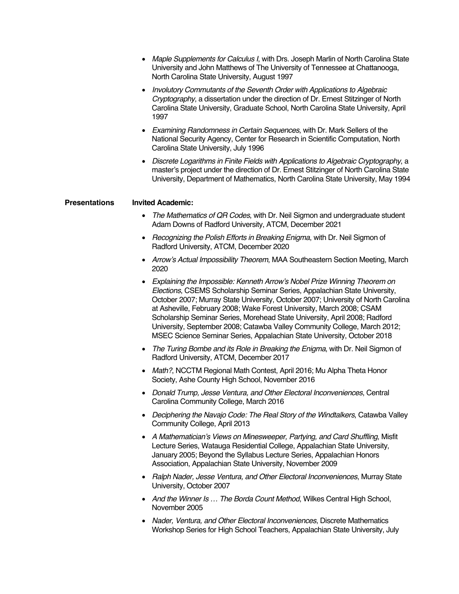|                      | • Maple Supplements for Calculus I, with Drs. Joseph Marlin of North Carolina State<br>University and John Matthews of The University of Tennessee at Chattanooga,<br>North Carolina State University, August 1997                                                                                                                                                                                                                                                                                                                                          |
|----------------------|-------------------------------------------------------------------------------------------------------------------------------------------------------------------------------------------------------------------------------------------------------------------------------------------------------------------------------------------------------------------------------------------------------------------------------------------------------------------------------------------------------------------------------------------------------------|
|                      | Involutory Commutants of the Seventh Order with Applications to Algebraic<br>Cryptography, a dissertation under the direction of Dr. Ernest Stitzinger of North<br>Carolina State University, Graduate School, North Carolina State University, April<br>1997                                                                                                                                                                                                                                                                                               |
|                      | Examining Randomness in Certain Sequences, with Dr. Mark Sellers of the<br>National Security Agency, Center for Research in Scientific Computation, North<br>Carolina State University, July 1996                                                                                                                                                                                                                                                                                                                                                           |
|                      | Discrete Logarithms in Finite Fields with Applications to Algebraic Cryptography, a<br>master's project under the direction of Dr. Ernest Stitzinger of North Carolina State<br>University, Department of Mathematics, North Carolina State University, May 1994                                                                                                                                                                                                                                                                                            |
| <b>Presentations</b> | <b>Invited Academic:</b>                                                                                                                                                                                                                                                                                                                                                                                                                                                                                                                                    |
|                      | The Mathematics of QR Codes, with Dr. Neil Sigmon and undergraduate student<br>$\bullet$<br>Adam Downs of Radford University, ATCM, December 2021                                                                                                                                                                                                                                                                                                                                                                                                           |
|                      | Recognizing the Polish Efforts in Breaking Enigma, with Dr. Neil Sigmon of<br>Radford University, ATCM, December 2020                                                                                                                                                                                                                                                                                                                                                                                                                                       |
|                      | Arrow's Actual Impossibility Theorem, MAA Southeastern Section Meeting, March<br>2020                                                                                                                                                                                                                                                                                                                                                                                                                                                                       |
|                      | Explaining the Impossible: Kenneth Arrow's Nobel Prize Winning Theorem on<br>Elections, CSEMS Scholarship Seminar Series, Appalachian State University,<br>October 2007; Murray State University, October 2007; University of North Carolina<br>at Asheville, February 2008; Wake Forest University, March 2008; CSAM<br>Scholarship Seminar Series, Morehead State University, April 2008; Radford<br>University, September 2008; Catawba Valley Community College, March 2012;<br>MSEC Science Seminar Series, Appalachian State University, October 2018 |
|                      | The Turing Bombe and its Role in Breaking the Enigma, with Dr. Neil Sigmon of<br>$\bullet$<br>Radford University, ATCM, December 2017                                                                                                                                                                                                                                                                                                                                                                                                                       |
|                      | Math?, NCCTM Regional Math Contest, April 2016; Mu Alpha Theta Honor<br>Society, Ashe County High School, November 2016                                                                                                                                                                                                                                                                                                                                                                                                                                     |
|                      | Donald Trump, Jesse Ventura, and Other Electoral Inconveniences, Central<br>Carolina Community College, March 2016                                                                                                                                                                                                                                                                                                                                                                                                                                          |
|                      | Deciphering the Navajo Code: The Real Story of the Windtalkers, Catawba Valley<br>Community College, April 2013                                                                                                                                                                                                                                                                                                                                                                                                                                             |
|                      | • A Mathematician's Views on Minesweeper, Partying, and Card Shuffling, Misfit<br>Lecture Series, Watauga Residential College, Appalachian State University,<br>January 2005; Beyond the Syllabus Lecture Series, Appalachian Honors<br>Association, Appalachian State University, November 2009                                                                                                                                                                                                                                                            |
|                      | Ralph Nader, Jesse Ventura, and Other Electoral Inconveniences, Murray State<br>University, October 2007                                                                                                                                                                                                                                                                                                                                                                                                                                                    |
|                      | And the Winner Is  The Borda Count Method, Wilkes Central High School,<br>November 2005                                                                                                                                                                                                                                                                                                                                                                                                                                                                     |
|                      | Nader, Ventura, and Other Electoral Inconveniences, Discrete Mathematics<br>Workshop Series for High School Teachers, Appalachian State University, July                                                                                                                                                                                                                                                                                                                                                                                                    |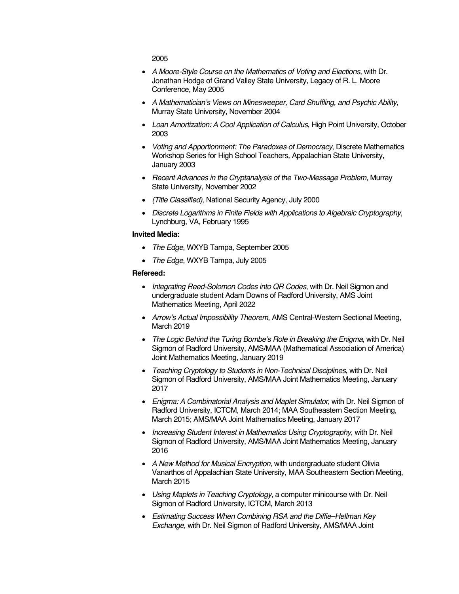2005

- *A Moore-Style Course on the Mathematics of Voting and Elections*, with Dr. Jonathan Hodge of Grand Valley State University, Legacy of R. L. Moore Conference, May 2005
- *A Mathematician's Views on Minesweeper, Card Shuffling, and Psychic Ability*, Murray State University, November 2004
- *Loan Amortization: A Cool Application of Calculus*, High Point University, October 2003
- *Voting and Apportionment: The Paradoxes of Democracy*, Discrete Mathematics Workshop Series for High School Teachers, Appalachian State University, January 2003
- *Recent Advances in the Cryptanalysis of the Two-Message Problem*, Murray State University, November 2002
- *(Title Classified)*, National Security Agency, July 2000
- *Discrete Logarithms in Finite Fields with Applications to Algebraic Cryptography*, Lynchburg, VA, February 1995

#### **Invited Media:**

- *The Edge*, WXYB Tampa, September 2005
- *The Edge*, WXYB Tampa, July 2005

#### **Refereed:**

- *Integrating Reed-Solomon Codes into QR Codes*, with Dr. Neil Sigmon and undergraduate student Adam Downs of Radford University, AMS Joint Mathematics Meeting, April 2022
- *Arrow's Actual Impossibility Theorem*, AMS Central-Western Sectional Meeting, March 2019
- *The Logic Behind the Turing Bombe's Role in Breaking the Enigma*, with Dr. Neil Sigmon of Radford University, AMS/MAA (Mathematical Association of America) Joint Mathematics Meeting, January 2019
- *Teaching Cryptology to Students in Non-Technical Disciplines*, with Dr. Neil Sigmon of Radford University, AMS/MAA Joint Mathematics Meeting, January 2017
- *Enigma: A Combinatorial Analysis and Maplet Simulator*, with Dr. Neil Sigmon of Radford University, ICTCM, March 2014; MAA Southeastern Section Meeting, March 2015; AMS/MAA Joint Mathematics Meeting, January 2017
- *Increasing Student Interest in Mathematics Using Cryptography*, with Dr. Neil Sigmon of Radford University, AMS/MAA Joint Mathematics Meeting, January 2016
- *A New Method for Musical Encryption*, with undergraduate student Olivia Vanarthos of Appalachian State University, MAA Southeastern Section Meeting, March 2015
- *Using Maplets in Teaching Cryptology*, a computer minicourse with Dr. Neil Sigmon of Radford University, ICTCM, March 2013
- *Estimating Success When Combining RSA and the Diffie–Hellman Key Exchange*, with Dr. Neil Sigmon of Radford University, AMS/MAA Joint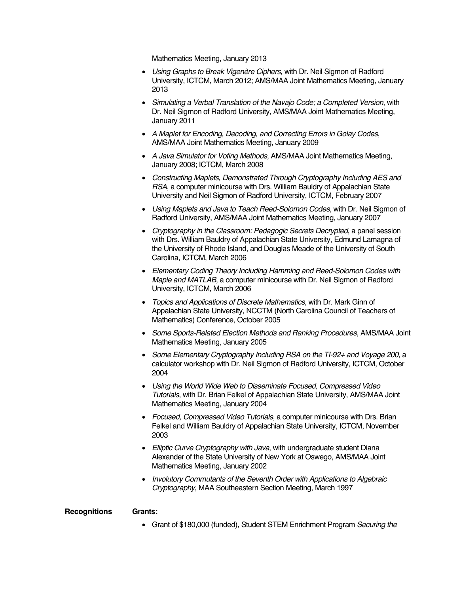Mathematics Meeting, January 2013

- *Using Graphs to Break Vigenère Ciphers*, with Dr. Neil Sigmon of Radford University, ICTCM, March 2012; AMS/MAA Joint Mathematics Meeting, January 2013
- *Simulating a Verbal Translation of the Navajo Code; a Completed Version*, with Dr. Neil Sigmon of Radford University, AMS/MAA Joint Mathematics Meeting, January 2011
- *A Maplet for Encoding, Decoding, and Correcting Errors in Golay Codes*, AMS/MAA Joint Mathematics Meeting, January 2009
- *A Java Simulator for Voting Methods*, AMS/MAA Joint Mathematics Meeting, January 2008; ICTCM, March 2008
- *Constructing Maplets, Demonstrated Through Cryptography Including AES and RSA*, a computer minicourse with Drs. William Bauldry of Appalachian State University and Neil Sigmon of Radford University, ICTCM, February 2007
- *Using Maplets and Java to Teach Reed-Solomon Codes*, with Dr. Neil Sigmon of Radford University, AMS/MAA Joint Mathematics Meeting, January 2007
- *Cryptography in the Classroom: Pedagogic Secrets Decrypted*, a panel session with Drs. William Bauldry of Appalachian State University, Edmund Lamagna of the University of Rhode Island, and Douglas Meade of the University of South Carolina, ICTCM, March 2006
- *Elementary Coding Theory Including Hamming and Reed-Solomon Codes with Maple and MATLAB*, a computer minicourse with Dr. Neil Sigmon of Radford University, ICTCM, March 2006
- *Topics and Applications of Discrete Mathematics*, with Dr. Mark Ginn of Appalachian State University, NCCTM (North Carolina Council of Teachers of Mathematics) Conference, October 2005
- *Some Sports-Related Election Methods and Ranking Procedures*, AMS/MAA Joint Mathematics Meeting, January 2005
- *Some Elementary Cryptography Including RSA on the TI-92+ and Voyage 200*, a calculator workshop with Dr. Neil Sigmon of Radford University, ICTCM, October 2004
- *Using the World Wide Web to Disseminate Focused, Compressed Video Tutorials*, with Dr. Brian Felkel of Appalachian State University, AMS/MAA Joint Mathematics Meeting, January 2004
- *Focused, Compressed Video Tutorials*, a computer minicourse with Drs. Brian Felkel and William Bauldry of Appalachian State University, ICTCM, November 2003
- *Elliptic Curve Cryptography with Java*, with undergraduate student Diana Alexander of the State University of New York at Oswego, AMS/MAA Joint Mathematics Meeting, January 2002
- *Involutory Commutants of the Seventh Order with Applications to Algebraic Cryptography*, MAA Southeastern Section Meeting, March 1997

#### **Recognitions Grants:**

• Grant of \$180,000 (funded), Student STEM Enrichment Program *Securing the*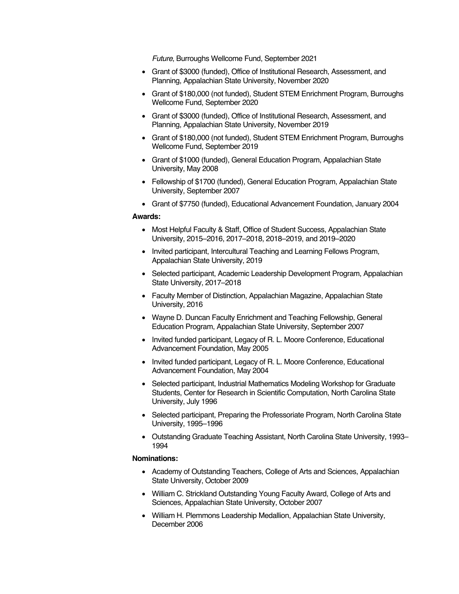*Future*, Burroughs Wellcome Fund, September 2021

- Grant of \$3000 (funded), Office of Institutional Research, Assessment, and Planning, Appalachian State University, November 2020
- Grant of \$180,000 (not funded), Student STEM Enrichment Program, Burroughs Wellcome Fund, September 2020
- Grant of \$3000 (funded), Office of Institutional Research, Assessment, and Planning, Appalachian State University, November 2019
- Grant of \$180,000 (not funded), Student STEM Enrichment Program, Burroughs Wellcome Fund, September 2019
- Grant of \$1000 (funded), General Education Program, Appalachian State University, May 2008
- Fellowship of \$1700 (funded), General Education Program, Appalachian State University, September 2007
- Grant of \$7750 (funded), Educational Advancement Foundation, January 2004

#### **Awards:**

- Most Helpful Faculty & Staff, Office of Student Success, Appalachian State University, 2015–2016, 2017–2018, 2018–2019, and 2019–2020
- Invited participant, Intercultural Teaching and Learning Fellows Program, Appalachian State University, 2019
- Selected participant, Academic Leadership Development Program, Appalachian State University, 2017–2018
- Faculty Member of Distinction, Appalachian Magazine, Appalachian State University, 2016
- Wayne D. Duncan Faculty Enrichment and Teaching Fellowship, General Education Program, Appalachian State University, September 2007
- Invited funded participant, Legacy of R. L. Moore Conference, Educational Advancement Foundation, May 2005
- Invited funded participant, Legacy of R. L. Moore Conference, Educational Advancement Foundation, May 2004
- Selected participant, Industrial Mathematics Modeling Workshop for Graduate Students, Center for Research in Scientific Computation, North Carolina State University, July 1996
- Selected participant, Preparing the Professoriate Program, North Carolina State University, 1995–1996
- Outstanding Graduate Teaching Assistant, North Carolina State University, 1993– 1994

## **Nominations:**

- Academy of Outstanding Teachers, College of Arts and Sciences, Appalachian State University, October 2009
- William C. Strickland Outstanding Young Faculty Award, College of Arts and Sciences, Appalachian State University, October 2007
- William H. Plemmons Leadership Medallion, Appalachian State University, December 2006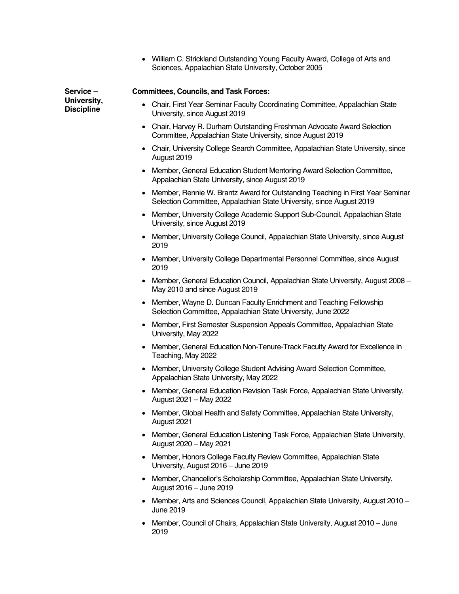|                                  | William C. Strickland Outstanding Young Faculty Award, College of Arts and<br>Sciences, Appalachian State University, October 2005                    |
|----------------------------------|-------------------------------------------------------------------------------------------------------------------------------------------------------|
| Service-                         | <b>Committees, Councils, and Task Forces:</b>                                                                                                         |
| University,<br><b>Discipline</b> | Chair, First Year Seminar Faculty Coordinating Committee, Appalachian State<br>University, since August 2019                                          |
|                                  | Chair, Harvey R. Durham Outstanding Freshman Advocate Award Selection<br>Committee, Appalachian State University, since August 2019                   |
|                                  | Chair, University College Search Committee, Appalachian State University, since<br>August 2019                                                        |
|                                  | Member, General Education Student Mentoring Award Selection Committee,<br>Appalachian State University, since August 2019                             |
|                                  | Member, Rennie W. Brantz Award for Outstanding Teaching in First Year Seminar<br>Selection Committee, Appalachian State University, since August 2019 |
|                                  | Member, University College Academic Support Sub-Council, Appalachian State<br>University, since August 2019                                           |
|                                  | Member, University College Council, Appalachian State University, since August<br>2019                                                                |
|                                  | Member, University College Departmental Personnel Committee, since August<br>2019                                                                     |
|                                  | Member, General Education Council, Appalachian State University, August 2008 -<br>May 2010 and since August 2019                                      |
|                                  | Member, Wayne D. Duncan Faculty Enrichment and Teaching Fellowship<br>Selection Committee, Appalachian State University, June 2022                    |
|                                  | Member, First Semester Suspension Appeals Committee, Appalachian State<br>University, May 2022                                                        |
|                                  | Member, General Education Non-Tenure-Track Faculty Award for Excellence in<br>Teaching, May 2022                                                      |
|                                  | Member, University College Student Advising Award Selection Committee,<br>Appalachian State University, May 2022                                      |
|                                  | Member, General Education Revision Task Force, Appalachian State University,<br>August 2021 - May 2022                                                |
|                                  | Member, Global Health and Safety Committee, Appalachian State University,<br>August 2021                                                              |
|                                  | Member, General Education Listening Task Force, Appalachian State University,<br>August 2020 - May 2021                                               |
|                                  | Member, Honors College Faculty Review Committee, Appalachian State<br>University, August 2016 - June 2019                                             |
|                                  | Member, Chancellor's Scholarship Committee, Appalachian State University,<br>August 2016 - June 2019                                                  |
|                                  | Member, Arts and Sciences Council, Appalachian State University, August 2010 -<br>June 2019                                                           |

• Member, Council of Chairs, Appalachian State University, August 2010 – June 2019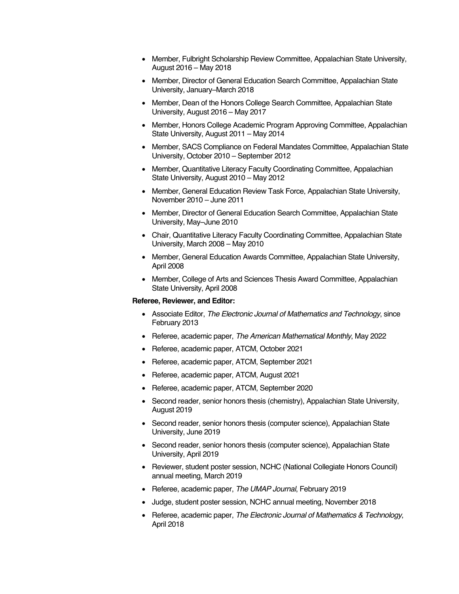- Member, Fulbright Scholarship Review Committee, Appalachian State University, August 2016 – May 2018
- Member, Director of General Education Search Committee, Appalachian State University, January–March 2018
- Member, Dean of the Honors College Search Committee, Appalachian State University, August 2016 – May 2017
- Member, Honors College Academic Program Approving Committee, Appalachian State University, August 2011 – May 2014
- Member, SACS Compliance on Federal Mandates Committee, Appalachian State University, October 2010 – September 2012
- Member, Quantitative Literacy Faculty Coordinating Committee, Appalachian State University, August 2010 – May 2012
- Member, General Education Review Task Force, Appalachian State University, November 2010 – June 2011
- Member, Director of General Education Search Committee, Appalachian State University, May–June 2010
- Chair, Quantitative Literacy Faculty Coordinating Committee, Appalachian State University, March 2008 – May 2010
- Member, General Education Awards Committee, Appalachian State University, April 2008
- Member, College of Arts and Sciences Thesis Award Committee, Appalachian State University, April 2008

## **Referee, Reviewer, and Editor:**

- Associate Editor, *The Electronic Journal of Mathematics and Technology*, since February 2013
- Referee, academic paper, *The American Mathematical Monthly*, May 2022
- Referee, academic paper, ATCM, October 2021
- Referee, academic paper, ATCM, September 2021
- Referee, academic paper, ATCM, August 2021
- Referee, academic paper, ATCM, September 2020
- Second reader, senior honors thesis (chemistry), Appalachian State University, August 2019
- Second reader, senior honors thesis (computer science), Appalachian State University, June 2019
- Second reader, senior honors thesis (computer science), Appalachian State University, April 2019
- Reviewer, student poster session, NCHC (National Collegiate Honors Council) annual meeting, March 2019
- Referee, academic paper, *The UMAP Journal*, February 2019
- Judge, student poster session, NCHC annual meeting, November 2018
- Referee, academic paper, *The Electronic Journal of Mathematics & Technology*, April 2018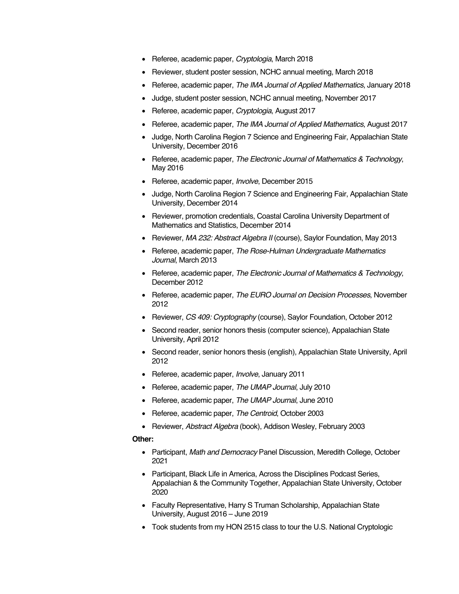- Referee, academic paper, *Cryptologia*, March 2018
- Reviewer, student poster session, NCHC annual meeting, March 2018
- Referee, academic paper, *The IMA Journal of Applied Mathematics*, January 2018
- Judge, student poster session, NCHC annual meeting, November 2017
- Referee, academic paper, *Cryptologia*, August 2017
- Referee, academic paper, *The IMA Journal of Applied Mathematics*, August 2017
- Judge, North Carolina Region 7 Science and Engineering Fair, Appalachian State University, December 2016
- Referee, academic paper, *The Electronic Journal of Mathematics & Technology*, May 2016
- Referee, academic paper, *Involve*, December 2015
- Judge, North Carolina Region 7 Science and Engineering Fair, Appalachian State University, December 2014
- Reviewer, promotion credentials, Coastal Carolina University Department of Mathematics and Statistics, December 2014
- Reviewer, *MA 232: Abstract Algebra II* (course), Saylor Foundation, May 2013
- Referee, academic paper, *The Rose-Hulman Undergraduate Mathematics Journal*, March 2013
- Referee, academic paper, *The Electronic Journal of Mathematics & Technology*, December 2012
- Referee, academic paper, *The EURO Journal on Decision Processes*, November 2012
- Reviewer, *CS 409: Cryptography* (course), Saylor Foundation, October 2012
- Second reader, senior honors thesis (computer science), Appalachian State University, April 2012
- Second reader, senior honors thesis (english), Appalachian State University, April 2012
- Referee, academic paper, *Involve*, January 2011
- Referee, academic paper, *The UMAP Journal*, July 2010
- Referee, academic paper, *The UMAP Journal*, June 2010
- Referee, academic paper, *The Centroid*, October 2003
- Reviewer, *Abstract Algebra* (book), Addison Wesley, February 2003

## **Other:**

- Participant, *Math and Democracy* Panel Discussion, Meredith College, October 2021
- Participant, Black Life in America, Across the Disciplines Podcast Series, Appalachian & the Community Together, Appalachian State University, October 2020
- Faculty Representative, Harry S Truman Scholarship, Appalachian State University, August 2016 – June 2019
- Took students from my HON 2515 class to tour the U.S. National Cryptologic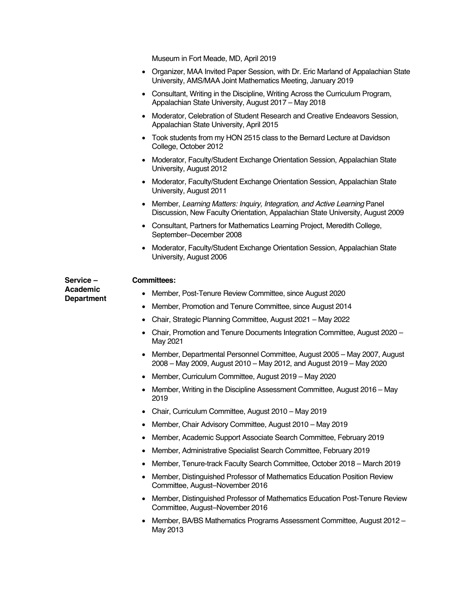Museum in Fort Meade, MD, April 2019

| • Organizer, MAA Invited Paper Session, with Dr. Eric Marland of Appalachian State |
|------------------------------------------------------------------------------------|
| University, AMS/MAA Joint Mathematics Meeting, January 2019                        |

- Consultant, Writing in the Discipline, Writing Across the Curriculum Program, Appalachian State University, August 2017 – May 2018
- Moderator, Celebration of Student Research and Creative Endeavors Session, Appalachian State University, April 2015
- Took students from my HON 2515 class to the Bernard Lecture at Davidson College, October 2012
- Moderator, Faculty/Student Exchange Orientation Session, Appalachian State University, August 2012
- Moderator, Faculty/Student Exchange Orientation Session, Appalachian State University, August 2011
- Member, *Learning Matters: Inquiry, Integration, and Active Learning* Panel Discussion, New Faculty Orientation, Appalachian State University, August 2009
- Consultant, Partners for Mathematics Learning Project, Meredith College, September–December 2008
- Moderator, Faculty/Student Exchange Orientation Session, Appalachian State University, August 2006

**Service – Academic Department**

#### **Committees:**

- Member, Post-Tenure Review Committee, since August 2020
- Member, Promotion and Tenure Committee, since August 2014
- Chair, Strategic Planning Committee, August 2021 May 2022
- Chair, Promotion and Tenure Documents Integration Committee, August 2020 May 2021
- Member, Departmental Personnel Committee, August 2005 May 2007, August 2008 – May 2009, August 2010 – May 2012, and August 2019 – May 2020
- Member, Curriculum Committee, August 2019 May 2020
- Member, Writing in the Discipline Assessment Committee, August 2016 May 2019
- Chair, Curriculum Committee, August 2010 May 2019
- Member, Chair Advisory Committee, August 2010 May 2019
- Member, Academic Support Associate Search Committee, February 2019
- Member, Administrative Specialist Search Committee, February 2019
- Member, Tenure-track Faculty Search Committee, October 2018 March 2019
- Member, Distinguished Professor of Mathematics Education Position Review Committee, August–November 2016
- Member, Distinguished Professor of Mathematics Education Post-Tenure Review Committee, August–November 2016
- Member, BA/BS Mathematics Programs Assessment Committee, August 2012 May 2013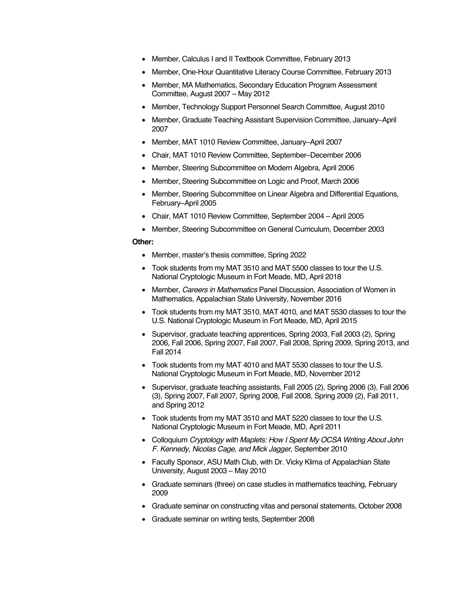- Member, Calculus I and II Textbook Committee, February 2013
- Member, One-Hour Quantitative Literacy Course Committee, February 2013
- Member, MA Mathematics, Secondary Education Program Assessment Committee, August 2007 – May 2012
- Member, Technology Support Personnel Search Committee, August 2010
- Member, Graduate Teaching Assistant Supervision Committee, January–April 2007
- Member, MAT 1010 Review Committee, January–April 2007
- Chair, MAT 1010 Review Committee, September–December 2006
- Member, Steering Subcommittee on Modern Algebra, April 2006
- Member, Steering Subcommittee on Logic and Proof, March 2006
- Member, Steering Subcommittee on Linear Algebra and Differential Equations, February–April 2005
- Chair, MAT 1010 Review Committee, September 2004 April 2005
- Member, Steering Subcommittee on General Curriculum, December 2003

## **Other:**

- Member, master's thesis committee, Spring 2022
- Took students from my MAT 3510 and MAT 5500 classes to tour the U.S. National Cryptologic Museum in Fort Meade, MD, April 2018
- Member, *Careers in Mathematics* Panel Discussion, Association of Women in Mathematics, Appalachian State University, November 2016
- Took students from my MAT 3510, MAT 4010, and MAT 5530 classes to tour the U.S. National Cryptologic Museum in Fort Meade, MD, April 2015
- Supervisor, graduate teaching apprentices, Spring 2003, Fall 2003 (2), Spring 2006, Fall 2006, Spring 2007, Fall 2007, Fall 2008, Spring 2009, Spring 2013, and Fall 2014
- Took students from my MAT 4010 and MAT 5530 classes to tour the U.S. National Cryptologic Museum in Fort Meade, MD, November 2012
- Supervisor, graduate teaching assistants, Fall 2005 (2), Spring 2006 (3), Fall 2006 (3), Spring 2007, Fall 2007, Spring 2008, Fall 2008, Spring 2009 (2), Fall 2011, and Spring 2012
- Took students from my MAT 3510 and MAT 5220 classes to tour the U.S. National Cryptologic Museum in Fort Meade, MD, April 2011
- Colloquium *Cryptology with Maplets: How I Spent My OCSA Writing About John F. Kennedy, Nicolas Cage, and Mick Jagger*, September 2010
- Faculty Sponsor, ASU Math Club, with Dr. Vicky Klima of Appalachian State University, August 2003 – May 2010
- Graduate seminars (three) on case studies in mathematics teaching, February 2009
- Graduate seminar on constructing vitas and personal statements, October 2008
- Graduate seminar on writing tests, September 2008